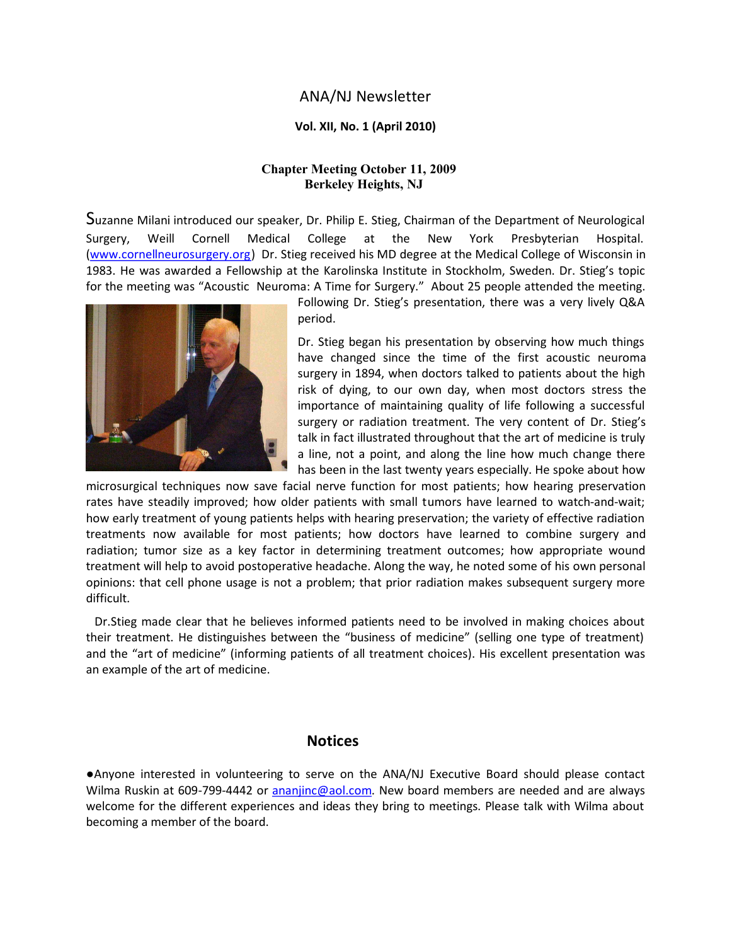#### ANA/NJ Newsletter

#### **Vol. XII, No. 1 (April 2010)**

#### **Chapter Meeting October 11, 2009 Berkeley Heights, NJ**

Suzanne Milani introduced our speaker, Dr. Philip E. Stieg, Chairman of the Department of Neurological Surgery, Weill Cornell Medical College at the New York Presbyterian Hospital. (www.cornellneurosurgery.org) Dr. Stieg received his MD degree at the Medical College of Wisconsin in 1983. He was awarded a Fellowship at the Karolinska Institute in Stockholm, Sweden. Dr. Stieg's topic for the meeting was "Acoustic Neuroma: A Time for Surgery." About 25 people attended the meeting.



Following Dr. Stieg's presentation, there was a very lively Q&A period.

Dr. Stieg began his presentation by observing how much things have changed since the time of the first acoustic neuroma surgery in 1894, when doctors talked to patients about the high risk of dying, to our own day, when most doctors stress the importance of maintaining quality of life following a successful surgery or radiation treatment. The very content of Dr. Stieg's talk in fact illustrated throughout that the art of medicine is truly a line, not a point, and along the line how much change there has been in the last twenty years especially. He spoke about how

microsurgical techniques now save facial nerve function for most patients; how hearing preservation rates have steadily improved; how older patients with small tumors have learned to watch-and-wait; how early treatment of young patients helps with hearing preservation; the variety of effective radiation treatments now available for most patients; how doctors have learned to combine surgery and radiation; tumor size as a key factor in determining treatment outcomes; how appropriate wound treatment will help to avoid postoperative headache. Along the way, he noted some of his own personal opinions: that cell phone usage is not a problem; that prior radiation makes subsequent surgery more difficult.

 Dr.Stieg made clear that he believes informed patients need to be involved in making choices about their treatment. He distinguishes between the "business of medicine" (selling one type of treatment) and the "art of medicine" (informing patients of all treatment choices). His excellent presentation was an example of the art of medicine.

#### **Notices**

●Anyone interested in volunteering to serve on the ANA/NJ Executive Board should please contact Wilma Ruskin at 609-799-4442 or ananjinc@aol.com. New board members are needed and are always welcome for the different experiences and ideas they bring to meetings. Please talk with Wilma about becoming a member of the board.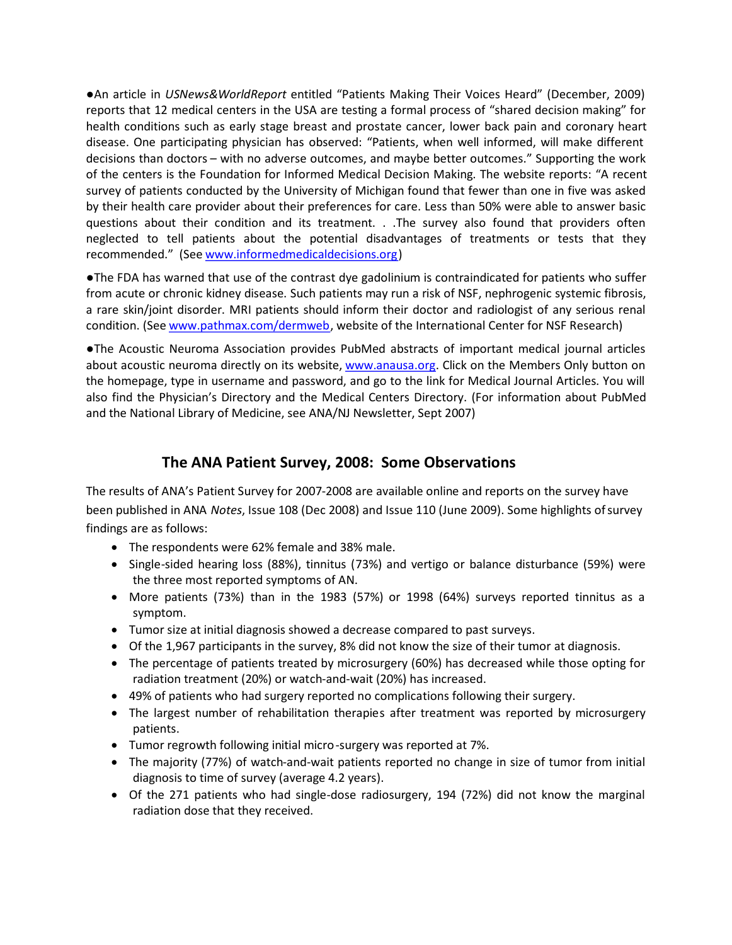●An article in *USNews&WorldReport* entitled "Patients Making Their Voices Heard" (December, 2009) reports that 12 medical centers in the USA are testing a formal process of "shared decision making" for health conditions such as early stage breast and prostate cancer, lower back pain and coronary heart disease. One participating physician has observed: "Patients, when well informed, will make different decisions than doctors – with no adverse outcomes, and maybe better outcomes." Supporting the work of the centers is the Foundation for Informed Medical Decision Making. The website reports: "A recent survey of patients conducted by the University of Michigan found that fewer than one in five was asked by their health care provider about their preferences for care. Less than 50% were able to answer basic questions about their condition and its treatment. . .The survey also found that providers often neglected to tell patients about the potential disadvantages of treatments or tests that they recommended." (See www.informedmedicaldecisions.org)

●The FDA has warned that use of the contrast dye gadolinium is contraindicated for patients who suffer from acute or chronic kidney disease. Such patients may run a risk of NSF, nephrogenic systemic fibrosis, a rare skin/joint disorder. MRI patients should inform their doctor and radiologist of any serious renal condition. (See www.pathmax.com/dermweb, website of the International Center for NSF Research)

●The Acoustic Neuroma Association provides PubMed abstracts of important medical journal articles about acoustic neuroma directly on its website, www.anausa.org. Click on the Members Only button on the homepage, type in username and password, and go to the link for Medical Journal Articles. You will also find the Physician's Directory and the Medical Centers Directory. (For information about PubMed and the National Library of Medicine, see ANA/NJ Newsletter, Sept 2007)

# **The ANA Patient Survey, 2008: Some Observations**

The results of ANA's Patient Survey for 2007-2008 are available online and reports on the survey have been published in ANA *Notes*, Issue 108 (Dec 2008) and Issue 110 (June 2009). Some highlights ofsurvey findings are as follows:

- The respondents were 62% female and 38% male.
- Single-sided hearing loss (88%), tinnitus (73%) and vertigo or balance disturbance (59%) were the three most reported symptoms of AN.
- More patients (73%) than in the 1983 (57%) or 1998 (64%) surveys reported tinnitus as a symptom.
- Tumor size at initial diagnosis showed a decrease compared to past surveys.
- Of the 1,967 participants in the survey, 8% did not know the size of their tumor at diagnosis.
- The percentage of patients treated by microsurgery (60%) has decreased while those opting for radiation treatment (20%) or watch-and-wait (20%) has increased.
- 49% of patients who had surgery reported no complications following their surgery.
- The largest number of rehabilitation therapies after treatment was reported by microsurgery patients.
- Tumor regrowth following initial micro-surgery was reported at 7%.
- The majority (77%) of watch-and-wait patients reported no change in size of tumor from initial diagnosis to time of survey (average 4.2 years).
- Of the 271 patients who had single-dose radiosurgery, 194 (72%) did not know the marginal radiation dose that they received.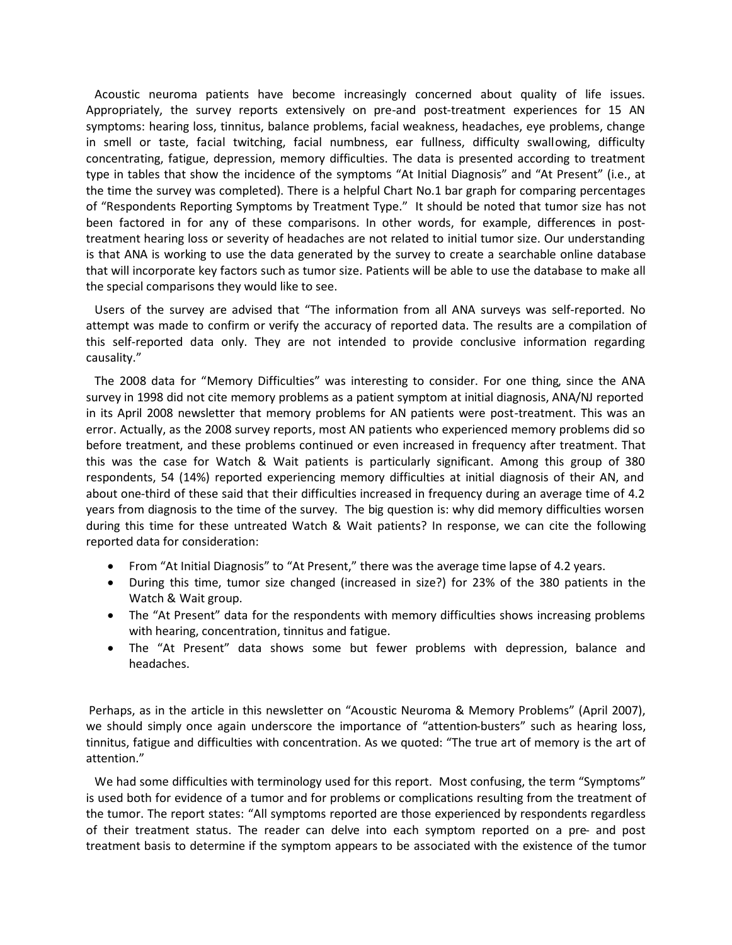Acoustic neuroma patients have become increasingly concerned about quality of life issues. Appropriately, the survey reports extensively on pre-and post-treatment experiences for 15 AN symptoms: hearing loss, tinnitus, balance problems, facial weakness, headaches, eye problems, change in smell or taste, facial twitching, facial numbness, ear fullness, difficulty swallowing, difficulty concentrating, fatigue, depression, memory difficulties. The data is presented according to treatment type in tables that show the incidence of the symptoms "At Initial Diagnosis" and "At Present" (i.e., at the time the survey was completed). There is a helpful Chart No.1 bar graph for comparing percentages of "Respondents Reporting Symptoms by Treatment Type." It should be noted that tumor size has not been factored in for any of these comparisons. In other words, for example, differences in posttreatment hearing loss or severity of headaches are not related to initial tumor size. Our understanding is that ANA is working to use the data generated by the survey to create a searchable online database that will incorporate key factors such as tumor size. Patients will be able to use the database to make all the special comparisons they would like to see.

 Users of the survey are advised that "The information from all ANA surveys was self-reported. No attempt was made to confirm or verify the accuracy of reported data. The results are a compilation of this self-reported data only. They are not intended to provide conclusive information regarding causality."

 The 2008 data for "Memory Difficulties" was interesting to consider. For one thing, since the ANA survey in 1998 did not cite memory problems as a patient symptom at initial diagnosis, ANA/NJ reported in its April 2008 newsletter that memory problems for AN patients were post-treatment. This was an error. Actually, as the 2008 survey reports, most AN patients who experienced memory problems did so before treatment, and these problems continued or even increased in frequency after treatment. That this was the case for Watch & Wait patients is particularly significant. Among this group of 380 respondents, 54 (14%) reported experiencing memory difficulties at initial diagnosis of their AN, and about one-third of these said that their difficulties increased in frequency during an average time of 4.2 years from diagnosis to the time of the survey. The big question is: why did memory difficulties worsen during this time for these untreated Watch & Wait patients? In response, we can cite the following reported data for consideration:

- From "At Initial Diagnosis" to "At Present," there was the average time lapse of 4.2 years.
- During this time, tumor size changed (increased in size?) for 23% of the 380 patients in the Watch & Wait group.
- The "At Present" data for the respondents with memory difficulties shows increasing problems with hearing, concentration, tinnitus and fatigue.
- The "At Present" data shows some but fewer problems with depression, balance and headaches.

Perhaps, as in the article in this newsletter on "Acoustic Neuroma & Memory Problems" (April 2007), we should simply once again underscore the importance of "attention-busters" such as hearing loss, tinnitus, fatigue and difficulties with concentration. As we quoted: "The true art of memory is the art of attention."

 We had some difficulties with terminology used for this report. Most confusing, the term "Symptoms" is used both for evidence of a tumor and for problems or complications resulting from the treatment of the tumor. The report states: "All symptoms reported are those experienced by respondents regardless of their treatment status. The reader can delve into each symptom reported on a pre- and post treatment basis to determine if the symptom appears to be associated with the existence of the tumor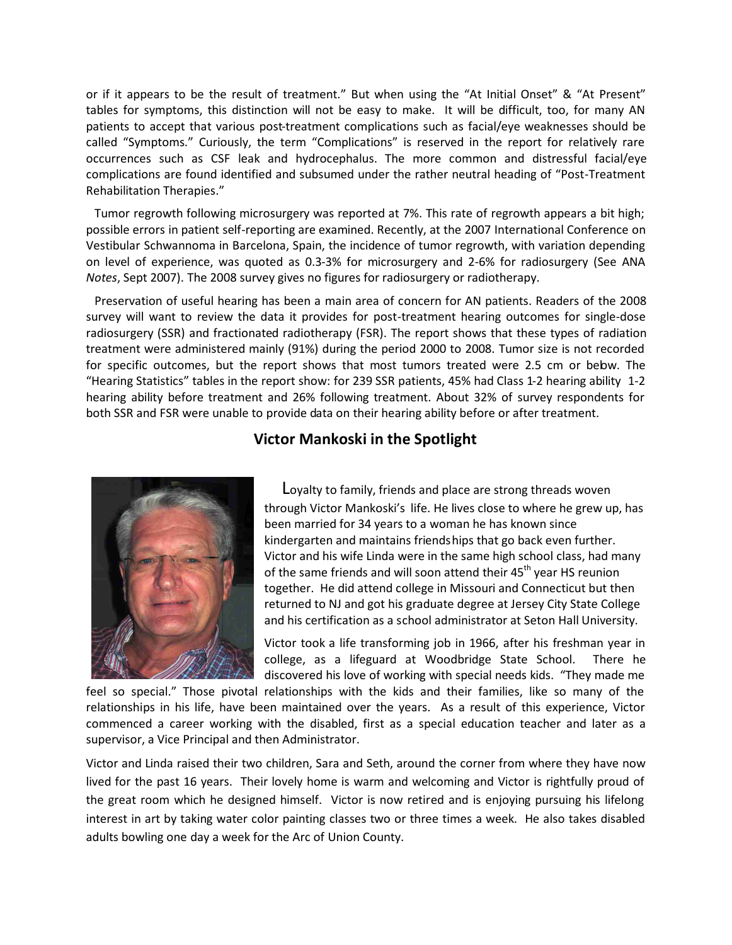or if it appears to be the result of treatment." But when using the "At Initial Onset" & "At Present" tables for symptoms, this distinction will not be easy to make. It will be difficult, too, for many AN patients to accept that various post-treatment complications such as facial/eye weaknesses should be called "Symptoms." Curiously, the term "Complications" is reserved in the report for relatively rare occurrences such as CSF leak and hydrocephalus. The more common and distressful facial/eye complications are found identified and subsumed under the rather neutral heading of "Post-Treatment Rehabilitation Therapies."

 Tumor regrowth following microsurgery was reported at 7%. This rate of regrowth appears a bit high; possible errors in patient self-reporting are examined. Recently, at the 2007 International Conference on Vestibular Schwannoma in Barcelona, Spain, the incidence of tumor regrowth, with variation depending on level of experience, was quoted as 0.3-3% for microsurgery and 2-6% for radiosurgery (See ANA *Notes*, Sept 2007). The 2008 survey gives no figures for radiosurgery or radiotherapy.

 Preservation of useful hearing has been a main area of concern for AN patients. Readers of the 2008 survey will want to review the data it provides for post-treatment hearing outcomes for single-dose radiosurgery (SSR) and fractionated radiotherapy (FSR). The report shows that these types of radiation treatment were administered mainly (91%) during the period 2000 to 2008. Tumor size is not recorded for specific outcomes, but the report shows that most tumors treated were 2.5 cm or bebw. The "Hearing Statistics" tables in the report show: for 239 SSR patients, 45% had Class 1-2 hearing ability 1-2 hearing ability before treatment and 26% following treatment. About 32% of survey respondents for both SSR and FSR were unable to provide data on their hearing ability before or after treatment.

## **Victor Mankoski in the Spotlight**



Loyalty to family, friends and place are strong threads woven through Victor Mankoski's life. He lives close to where he grew up, has been married for 34 years to a woman he has known since kindergarten and maintains friendships that go back even further. Victor and his wife Linda were in the same high school class, had many of the same friends and will soon attend their 45<sup>th</sup> year HS reunion together. He did attend college in Missouri and Connecticut but then returned to NJ and got his graduate degree at Jersey City State College and his certification as a school administrator at Seton Hall University.

Victor took a life transforming job in 1966, after his freshman year in college, as a lifeguard at Woodbridge State School. There he discovered his love of working with special needs kids. "They made me

feel so special." Those pivotal relationships with the kids and their families, like so many of the relationships in his life, have been maintained over the years. As a result of this experience, Victor commenced a career working with the disabled, first as a special education teacher and later as a supervisor, a Vice Principal and then Administrator.

Victor and Linda raised their two children, Sara and Seth, around the corner from where they have now lived for the past 16 years. Their lovely home is warm and welcoming and Victor is rightfully proud of the great room which he designed himself. Victor is now retired and is enjoying pursuing his lifelong interest in art by taking water color painting classes two or three times a week. He also takes disabled adults bowling one day a week for the Arc of Union County.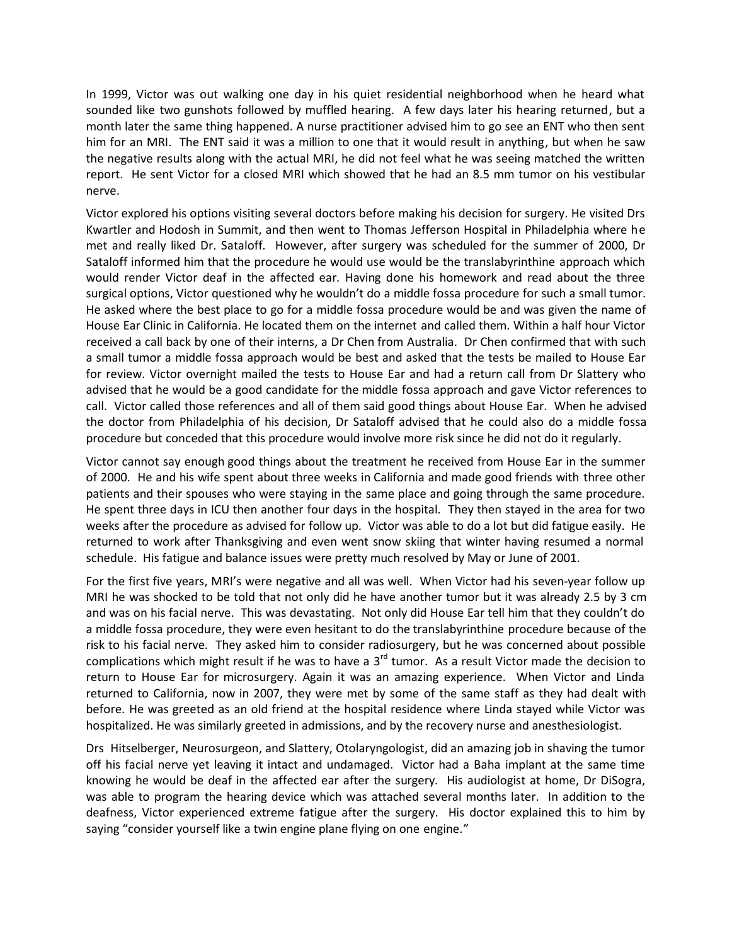In 1999, Victor was out walking one day in his quiet residential neighborhood when he heard what sounded like two gunshots followed by muffled hearing. A few days later his hearing returned, but a month later the same thing happened. A nurse practitioner advised him to go see an ENT who then sent him for an MRI. The ENT said it was a million to one that it would result in anything, but when he saw the negative results along with the actual MRI, he did not feel what he was seeing matched the written report. He sent Victor for a closed MRI which showed that he had an 8.5 mm tumor on his vestibular nerve.

Victor explored his options visiting several doctors before making his decision for surgery. He visited Drs Kwartler and Hodosh in Summit, and then went to Thomas Jefferson Hospital in Philadelphia where he met and really liked Dr. Sataloff. However, after surgery was scheduled for the summer of 2000, Dr Sataloff informed him that the procedure he would use would be the translabyrinthine approach which would render Victor deaf in the affected ear. Having done his homework and read about the three surgical options, Victor questioned why he wouldn't do a middle fossa procedure for such a small tumor. He asked where the best place to go for a middle fossa procedure would be and was given the name of House Ear Clinic in California. He located them on the internet and called them. Within a half hour Victor received a call back by one of their interns, a Dr Chen from Australia. Dr Chen confirmed that with such a small tumor a middle fossa approach would be best and asked that the tests be mailed to House Ear for review. Victor overnight mailed the tests to House Ear and had a return call from Dr Slattery who advised that he would be a good candidate for the middle fossa approach and gave Victor references to call. Victor called those references and all of them said good things about House Ear. When he advised the doctor from Philadelphia of his decision, Dr Sataloff advised that he could also do a middle fossa procedure but conceded that this procedure would involve more risk since he did not do it regularly.

Victor cannot say enough good things about the treatment he received from House Ear in the summer of 2000. He and his wife spent about three weeks in California and made good friends with three other patients and their spouses who were staying in the same place and going through the same procedure. He spent three days in ICU then another four days in the hospital. They then stayed in the area for two weeks after the procedure as advised for follow up. Victor was able to do a lot but did fatigue easily. He returned to work after Thanksgiving and even went snow skiing that winter having resumed a normal schedule. His fatigue and balance issues were pretty much resolved by May or June of 2001.

For the first five years, MRI's were negative and all was well. When Victor had his seven-year follow up MRI he was shocked to be told that not only did he have another tumor but it was already 2.5 by 3 cm and was on his facial nerve. This was devastating. Not only did House Ear tell him that they couldn't do a middle fossa procedure, they were even hesitant to do the translabyrinthine procedure because of the risk to his facial nerve. They asked him to consider radiosurgery, but he was concerned about possible complications which might result if he was to have a  $3<sup>rd</sup>$  tumor. As a result Victor made the decision to return to House Ear for microsurgery. Again it was an amazing experience. When Victor and Linda returned to California, now in 2007, they were met by some of the same staff as they had dealt with before. He was greeted as an old friend at the hospital residence where Linda stayed while Victor was hospitalized. He was similarly greeted in admissions, and by the recovery nurse and anesthesiologist.

Drs Hitselberger, Neurosurgeon, and Slattery, Otolaryngologist, did an amazing job in shaving the tumor off his facial nerve yet leaving it intact and undamaged. Victor had a Baha implant at the same time knowing he would be deaf in the affected ear after the surgery. His audiologist at home, Dr DiSogra, was able to program the hearing device which was attached several months later. In addition to the deafness, Victor experienced extreme fatigue after the surgery. His doctor explained this to him by saying "consider yourself like a twin engine plane flying on one engine."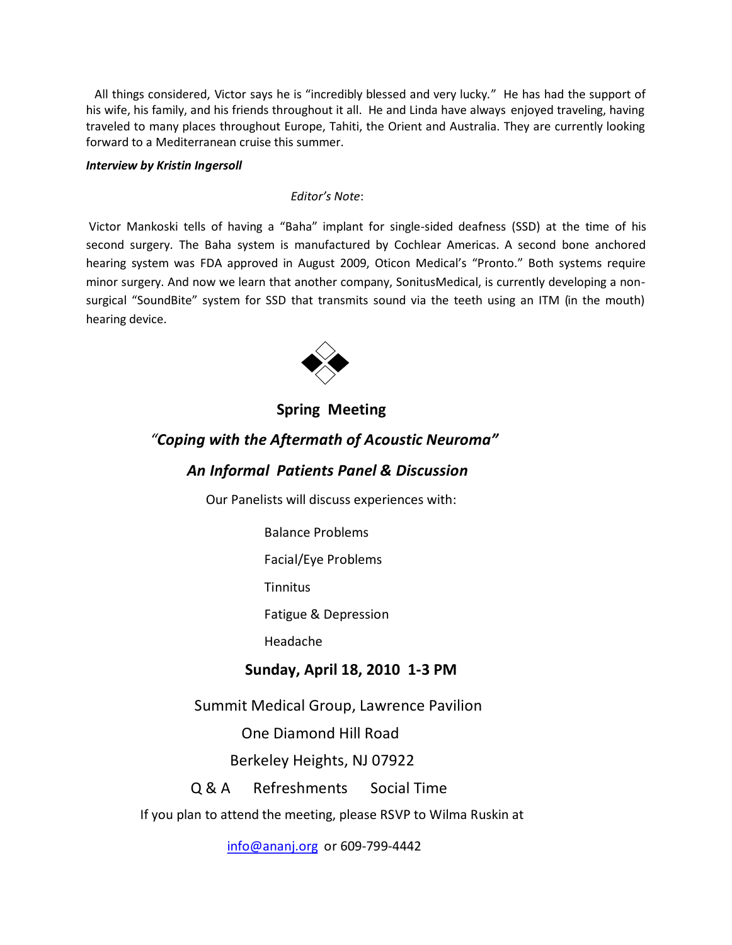All things considered, Victor says he is "incredibly blessed and very lucky." He has had the support of his wife, his family, and his friends throughout it all. He and Linda have always enjoyed traveling, having traveled to many places throughout Europe, Tahiti, the Orient and Australia. They are currently looking forward to a Mediterranean cruise this summer.

#### *Interview by Kristin Ingersoll*

#### *Editor's Note*:

Victor Mankoski tells of having a "Baha" implant for single-sided deafness (SSD) at the time of his second surgery. The Baha system is manufactured by Cochlear Americas. A second bone anchored hearing system was FDA approved in August 2009, Oticon Medical's "Pronto." Both systems require minor surgery. And now we learn that another company, SonitusMedical, is currently developing a nonsurgical "SoundBite" system for SSD that transmits sound via the teeth using an ITM (in the mouth) hearing device.



### **Spring Meeting**

# *"Coping with the Aftermath of Acoustic Neuroma"*

## *An Informal Patients Panel & Discussion*

Our Panelists will discuss experiences with:

Balance Problems

Facial/Eye Problems

Tinnitus

Fatigue & Depression

Headache

## **Sunday, April 18, 2010 1-3 PM**

Summit Medical Group, Lawrence Pavilion

One Diamond Hill Road

Berkeley Heights, NJ 07922

Q & A Refreshments Social Time

If you plan to attend the meeting, please RSVP to Wilma Ruskin at

info@ananj.org or 609-799-4442